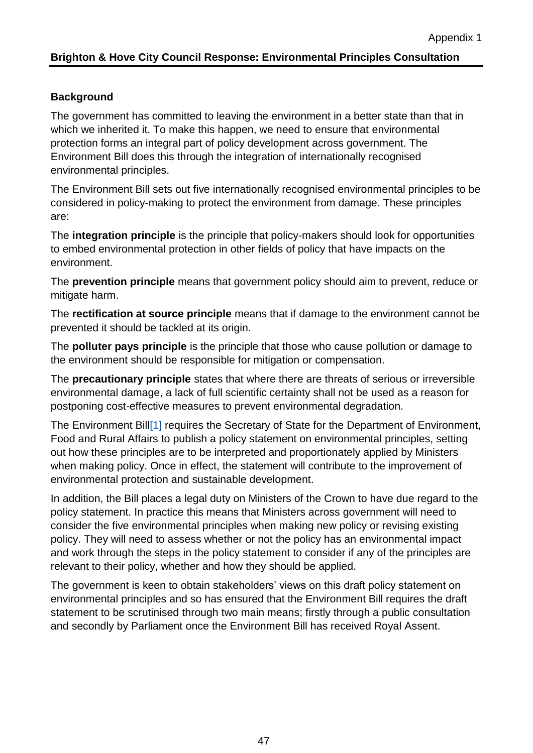## **Brighton & Hove City Council Response: Environmental Principles Consultation**

# **Background**

The government has committed to leaving the environment in a better state than that in which we inherited it. To make this happen, we need to ensure that environmental protection forms an integral part of policy development across government. The Environment Bill does this through the integration of internationally recognised environmental principles.

The Environment Bill sets out five internationally recognised environmental principles to be considered in policy-making to protect the environment from damage. These principles are:

The **integration principle** is the principle that policy-makers should look for opportunities to embed environmental protection in other fields of policy that have impacts on the environment.

The **prevention principle** means that government policy should aim to prevent, reduce or mitigate harm.

The **rectification at source principle** means that if damage to the environment cannot be prevented it should be tackled at its origin.

The **polluter pays principle** is the principle that those who cause pollution or damage to the environment should be responsible for mitigation or compensation.

The **precautionary principle** states that where there are threats of serious or irreversible environmental damage, a lack of full scientific certainty shall not be used as a reason for postponing cost-effective measures to prevent environmental degradation.

The Environment Bill<sup>[1]</sup> requires the Secretary of State for the Department of Environment, Food and Rural Affairs to publish a policy statement on environmental principles, setting out how these principles are to be interpreted and proportionately applied by Ministers when making policy. Once in effect, the statement will contribute to the improvement of environmental protection and sustainable development.

In addition, the Bill places a legal duty on Ministers of the Crown to have due regard to the policy statement. In practice this means that Ministers across government will need to consider the five environmental principles when making new policy or revising existing policy. They will need to assess whether or not the policy has an environmental impact and work through the steps in the policy statement to consider if any of the principles are relevant to their policy, whether and how they should be applied.

The government is keen to obtain stakeholders' views on this draft policy statement on environmental principles and so has ensured that the Environment Bill requires the draft statement to be scrutinised through two main means; firstly through a public consultation and secondly by Parliament once the Environment Bill has received Royal Assent.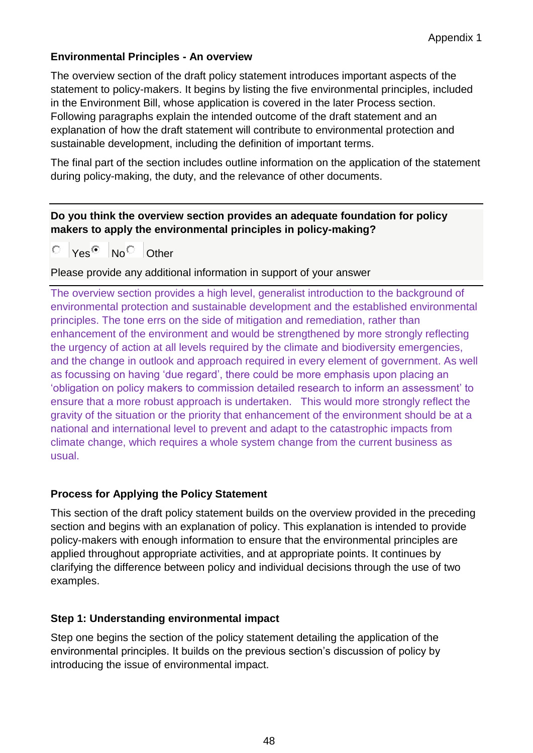# **Environmental Principles - An overview**

The overview section of the draft policy statement introduces important aspects of the statement to policy-makers. It begins by listing the five environmental principles, included in the Environment Bill, whose application is covered in the later Process section. Following paragraphs explain the intended outcome of the draft statement and an explanation of how the draft statement will contribute to environmental protection and sustainable development, including the definition of important terms.

The final part of the section includes outline information on the application of the statement during policy-making, the duty, and the relevance of other documents.

# **Do you think the overview section provides an adequate foundation for policy makers to apply the environmental principles in policy-making?**

Ю  $Yes \overset{\frown}{\bullet}$  No Other

Please provide any additional information in support of your answer

The overview section provides a high level, generalist introduction to the background of environmental protection and sustainable development and the established environmental principles. The tone errs on the side of mitigation and remediation, rather than enhancement of the environment and would be strengthened by more strongly reflecting the urgency of action at all levels required by the climate and biodiversity emergencies, and the change in outlook and approach required in every element of government. As well as focussing on having 'due regard', there could be more emphasis upon placing an 'obligation on policy makers to commission detailed research to inform an assessment' to ensure that a more robust approach is undertaken. This would more strongly reflect the gravity of the situation or the priority that enhancement of the environment should be at a national and international level to prevent and adapt to the catastrophic impacts from climate change, which requires a whole system change from the current business as usual.

## **Process for Applying the Policy Statement**

This section of the draft policy statement builds on the overview provided in the preceding section and begins with an explanation of policy. This explanation is intended to provide policy-makers with enough information to ensure that the environmental principles are applied throughout appropriate activities, and at appropriate points. It continues by clarifying the difference between policy and individual decisions through the use of two examples.

## **Step 1: Understanding environmental impact**

Step one begins the section of the policy statement detailing the application of the environmental principles. It builds on the previous section's discussion of policy by introducing the issue of environmental impact.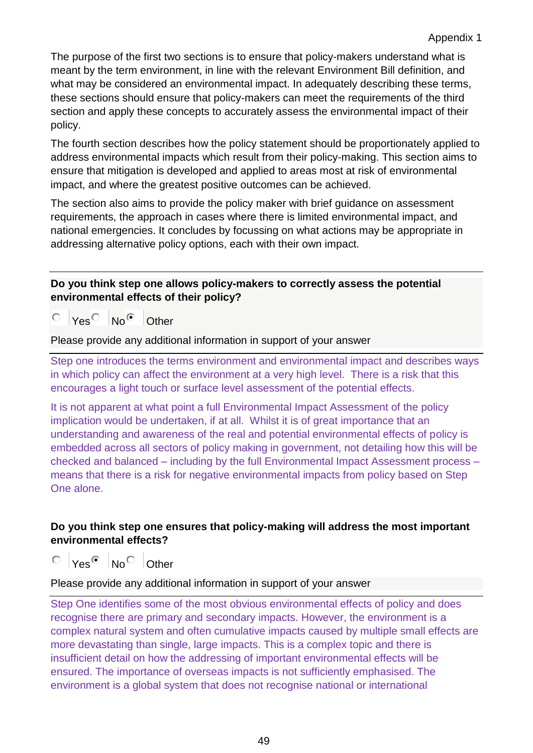The purpose of the first two sections is to ensure that policy-makers understand what is meant by the term environment, in line with the relevant Environment Bill definition, and what may be considered an environmental impact. In adequately describing these terms, these sections should ensure that policy-makers can meet the requirements of the third section and apply these concepts to accurately assess the environmental impact of their policy.

The fourth section describes how the policy statement should be proportionately applied to address environmental impacts which result from their policy-making. This section aims to ensure that mitigation is developed and applied to areas most at risk of environmental impact, and where the greatest positive outcomes can be achieved.

The section also aims to provide the policy maker with brief guidance on assessment requirements, the approach in cases where there is limited environmental impact, and national emergencies. It concludes by focussing on what actions may be appropriate in addressing alternative policy options, each with their own impact.

## **Do you think step one allows policy-makers to correctly assess the potential environmental effects of their policy?**

Yes<sup>O</sup> No<sup>o</sup> Other О

Please provide any additional information in support of your answer

Step one introduces the terms environment and environmental impact and describes ways in which policy can affect the environment at a very high level. There is a risk that this encourages a light touch or surface level assessment of the potential effects.

It is not apparent at what point a full Environmental Impact Assessment of the policy implication would be undertaken, if at all. Whilst it is of great importance that an understanding and awareness of the real and potential environmental effects of policy is embedded across all sectors of policy making in government, not detailing how this will be checked and balanced – including by the full Environmental Impact Assessment process – means that there is a risk for negative environmental impacts from policy based on Step One alone.

# **Do you think step one ensures that policy-making will address the most important environmental effects?**

0.  $Yes^@$  No Other

Please provide any additional information in support of your answer

Step One identifies some of the most obvious environmental effects of policy and does recognise there are primary and secondary impacts. However, the environment is a complex natural system and often cumulative impacts caused by multiple small effects are more devastating than single, large impacts. This is a complex topic and there is insufficient detail on how the addressing of important environmental effects will be ensured. The importance of overseas impacts is not sufficiently emphasised. The environment is a global system that does not recognise national or international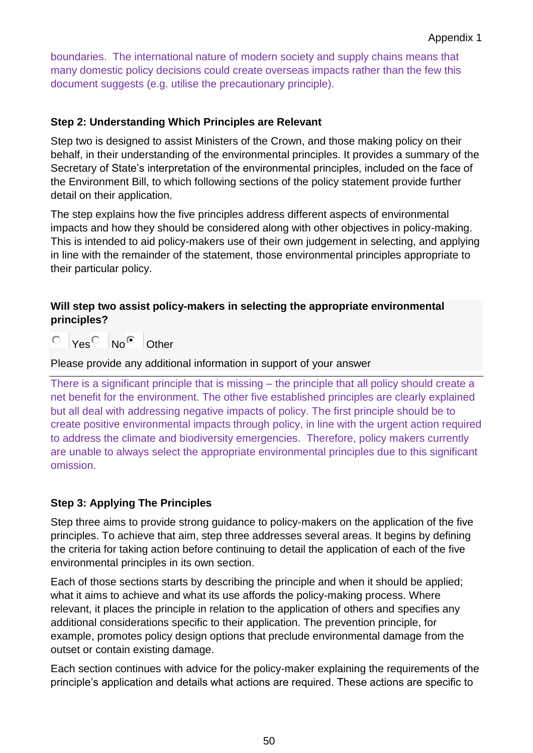boundaries. The international nature of modern society and supply chains means that many domestic policy decisions could create overseas impacts rather than the few this document suggests (e.g. utilise the precautionary principle).

# **Step 2: Understanding Which Principles are Relevant**

Step two is designed to assist Ministers of the Crown, and those making policy on their behalf, in their understanding of the environmental principles. It provides a summary of the Secretary of State's interpretation of the environmental principles, included on the face of the Environment Bill, to which following sections of the policy statement provide further detail on their application.

The step explains how the five principles address different aspects of environmental impacts and how they should be considered along with other objectives in policy-making. This is intended to aid policy-makers use of their own judgement in selecting, and applying in line with the remainder of the statement, those environmental principles appropriate to their particular policy.

# **Will step two assist policy-makers in selecting the appropriate environmental principles?**

 $\degree$  Yes No  $\degree$  Other

Please provide any additional information in support of your answer

There is a significant principle that is missing – the principle that all policy should create a net benefit for the environment. The other five established principles are clearly explained but all deal with addressing negative impacts of policy. The first principle should be to create positive environmental impacts through policy, in line with the urgent action required to address the climate and biodiversity emergencies. Therefore, policy makers currently are unable to always select the appropriate environmental principles due to this significant omission.

# **Step 3: Applying The Principles**

Step three aims to provide strong guidance to policy-makers on the application of the five principles. To achieve that aim, step three addresses several areas. It begins by defining the criteria for taking action before continuing to detail the application of each of the five environmental principles in its own section.

Each of those sections starts by describing the principle and when it should be applied; what it aims to achieve and what its use affords the policy-making process. Where relevant, it places the principle in relation to the application of others and specifies any additional considerations specific to their application. The prevention principle, for example, promotes policy design options that preclude environmental damage from the outset or contain existing damage.

Each section continues with advice for the policy-maker explaining the requirements of the principle's application and details what actions are required. These actions are specific to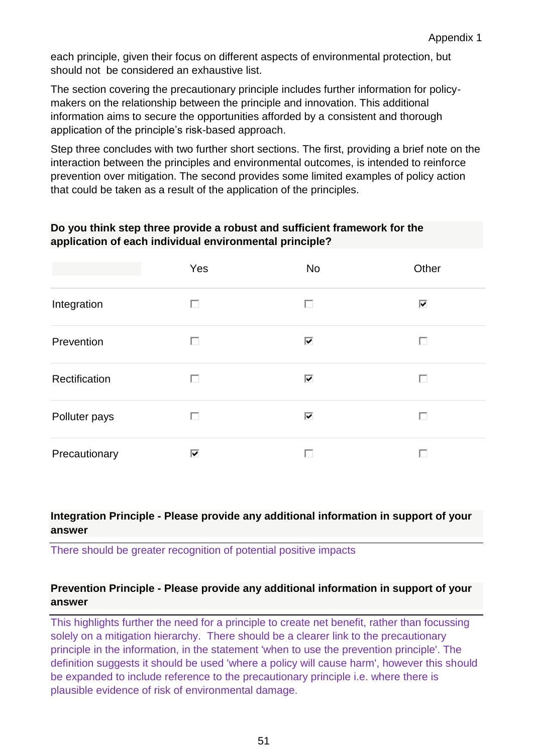each principle, given their focus on different aspects of environmental protection, but should not be considered an exhaustive list.

The section covering the precautionary principle includes further information for policymakers on the relationship between the principle and innovation. This additional information aims to secure the opportunities afforded by a consistent and thorough application of the principle's risk-based approach.

Step three concludes with two further short sections. The first, providing a brief note on the interaction between the principles and environmental outcomes, is intended to reinforce prevention over mitigation. The second provides some limited examples of policy action that could be taken as a result of the application of the principles.

### **Do you think step three provide a robust and sufficient framework for the application of each individual environmental principle?**

|               | Yes | <b>No</b> | Other |
|---------------|-----|-----------|-------|
| Integration   | П   | П         | ⊽     |
| Prevention    | П   | ⊽         | П     |
| Rectification | ш   | ⊽         | ш     |
| Polluter pays | П   | ⊽         | П     |
| Precautionary | ⊽   | U         | п     |

#### **Integration Principle - Please provide any additional information in support of your answer**

There should be greater recognition of potential positive impacts

#### **Prevention Principle - Please provide any additional information in support of your answer**

This highlights further the need for a principle to create net benefit, rather than focussing solely on a mitigation hierarchy. There should be a clearer link to the precautionary principle in the information, in the statement 'when to use the prevention principle'. The definition suggests it should be used 'where a policy will cause harm', however this should be expanded to include reference to the precautionary principle i.e. where there is plausible evidence of risk of environmental damage.